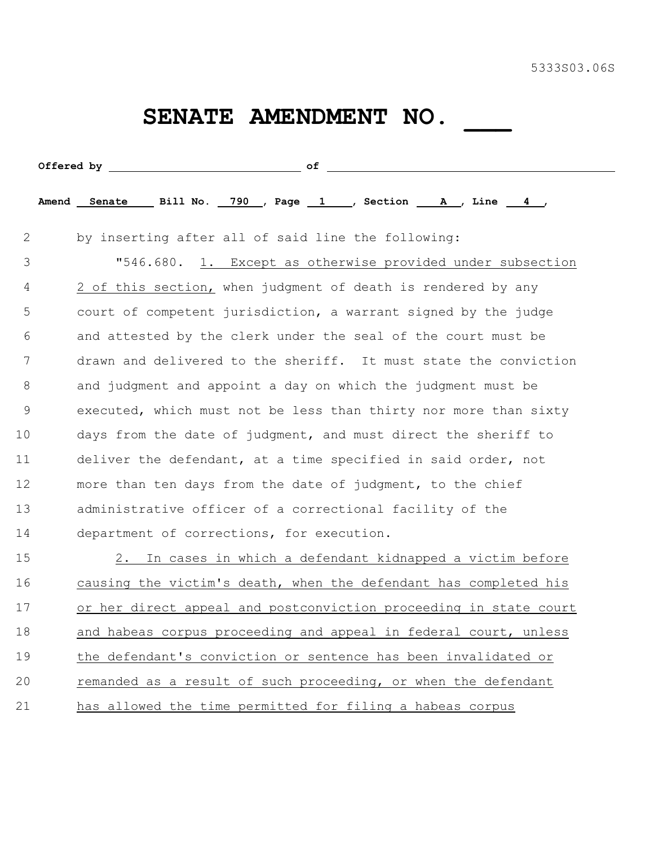## SENATE AMENDMENT NO. \_\_\_

|             | Amend Senate Bill No. 790 , Page 1 , Section A , Line 4 ,         |  |
|-------------|-------------------------------------------------------------------|--|
| 2           | by inserting after all of said line the following:                |  |
| 3           | "546.680. 1. Except as otherwise provided under subsection        |  |
| 4           | 2 of this section, when judgment of death is rendered by any      |  |
| 5           | court of competent jurisdiction, a warrant signed by the judge    |  |
| 6           | and attested by the clerk under the seal of the court must be     |  |
| 7           | drawn and delivered to the sheriff. It must state the conviction  |  |
| 8           | and judgment and appoint a day on which the judgment must be      |  |
| $\mathsf 9$ | executed, which must not be less than thirty nor more than sixty  |  |
| 10          | days from the date of judgment, and must direct the sheriff to    |  |
| 11          | deliver the defendant, at a time specified in said order, not     |  |
| 12          | more than ten days from the date of judgment, to the chief        |  |
| 13          | administrative officer of a correctional facility of the          |  |
| 14          | department of corrections, for execution.                         |  |
| 15          | 2. In cases in which a defendant kidnapped a victim before        |  |
| 16          | causing the victim's death, when the defendant has completed his  |  |
| 17          | or her direct appeal and postconviction proceeding in state court |  |
| 18          | and habeas corpus proceeding and appeal in federal court, unless  |  |
| 19          | the defendant's conviction or sentence has been invalidated or    |  |
| 20          | remanded as a result of such proceeding, or when the defendant    |  |
| 21          | has allowed the time permitted for filing a habeas corpus         |  |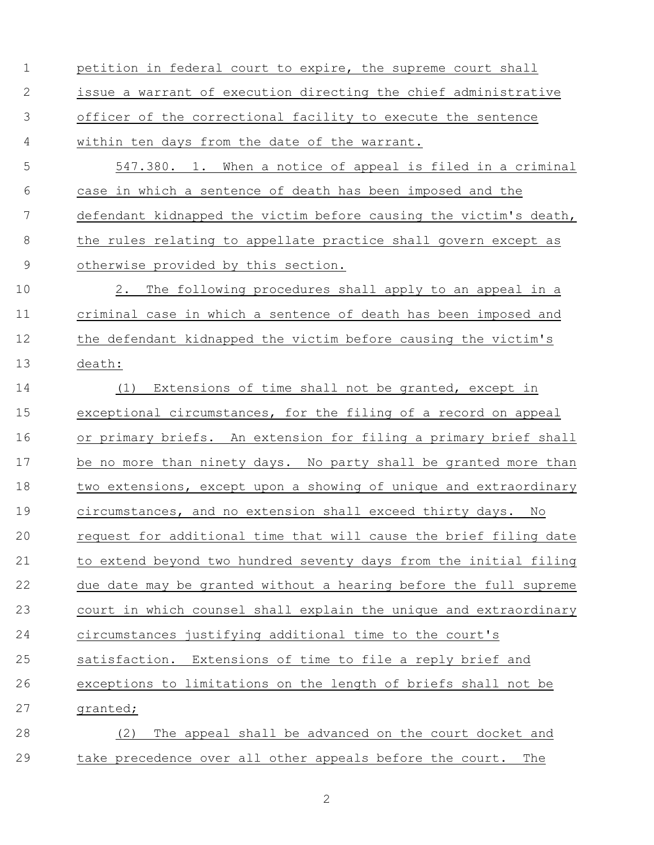petition in federal court to expire, the supreme court shall issue a warrant of execution directing the chief administrative officer of the correctional facility to execute the sentence within ten days from the date of the warrant.

 547.380. 1. When a notice of appeal is filed in a criminal case in which a sentence of death has been imposed and the defendant kidnapped the victim before causing the victim's death, 8 the rules relating to appellate practice shall govern except as otherwise provided by this section.

 2. The following procedures shall apply to an appeal in a criminal case in which a sentence of death has been imposed and 12 the defendant kidnapped the victim before causing the victim's death:

 (1) Extensions of time shall not be granted, except in exceptional circumstances, for the filing of a record on appeal or primary briefs. An extension for filing a primary brief shall be no more than ninety days. No party shall be granted more than 18 two extensions, except upon a showing of unique and extraordinary circumstances, and no extension shall exceed thirty days. No request for additional time that will cause the brief filing date to extend beyond two hundred seventy days from the initial filing due date may be granted without a hearing before the full supreme court in which counsel shall explain the unique and extraordinary circumstances justifying additional time to the court's satisfaction. Extensions of time to file a reply brief and exceptions to limitations on the length of briefs shall not be granted; (2) The appeal shall be advanced on the court docket and

take precedence over all other appeals before the court. The